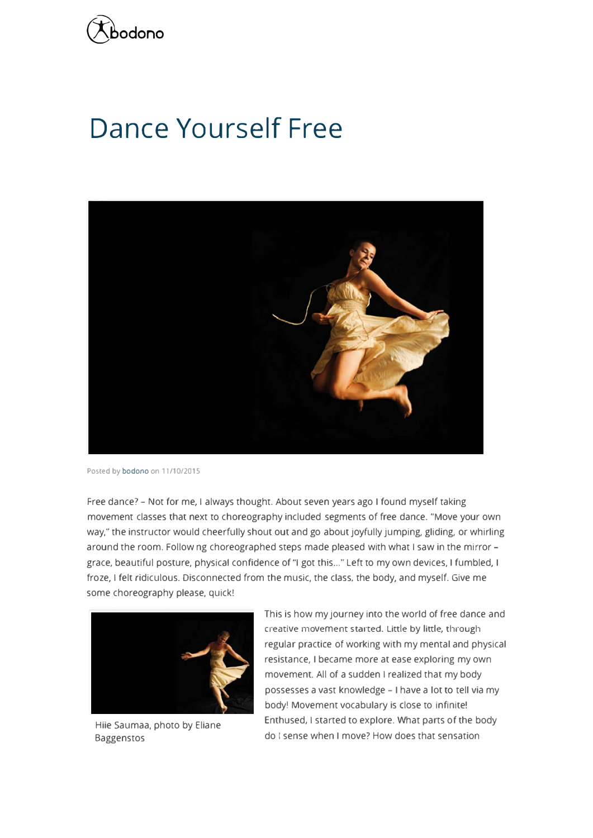

## **Dance Yourself Free**



Posted by bodono on 11/10/2015

Free dance? - Not for me, I always thought. About seven years ago I found myself taking movement classes that next to choreography included segments of free dance. "Move your own way," the instructor would cheerfully shout out and go about joyfully jumping, gliding, or whirling around the room. Follow ng choreographed steps made pleased with what I saw in the mirror grace, beautiful posture, physical confidence of "I got this..." Left to my own devices, I fumbled, I froze, I felt ridiculous. Disconnected from the music, the class, the body, and myself. Give me some choreography please, quick!



Hiie Saumaa, photo by Eliane Baggenstos

This is how my journey into the world of free dance and creative movement s tarted. Little by little, through regular practice of working with my mental and physical resistance, I became more at ease exploring my own movement. All of a sudden I realized that my body possesses a vast knowledge - I have a lot to tell via my body! Movement vocabulary is close to infinite! Enthused, I started to explore. What parts of the body do I sense when I move? How does that sensation